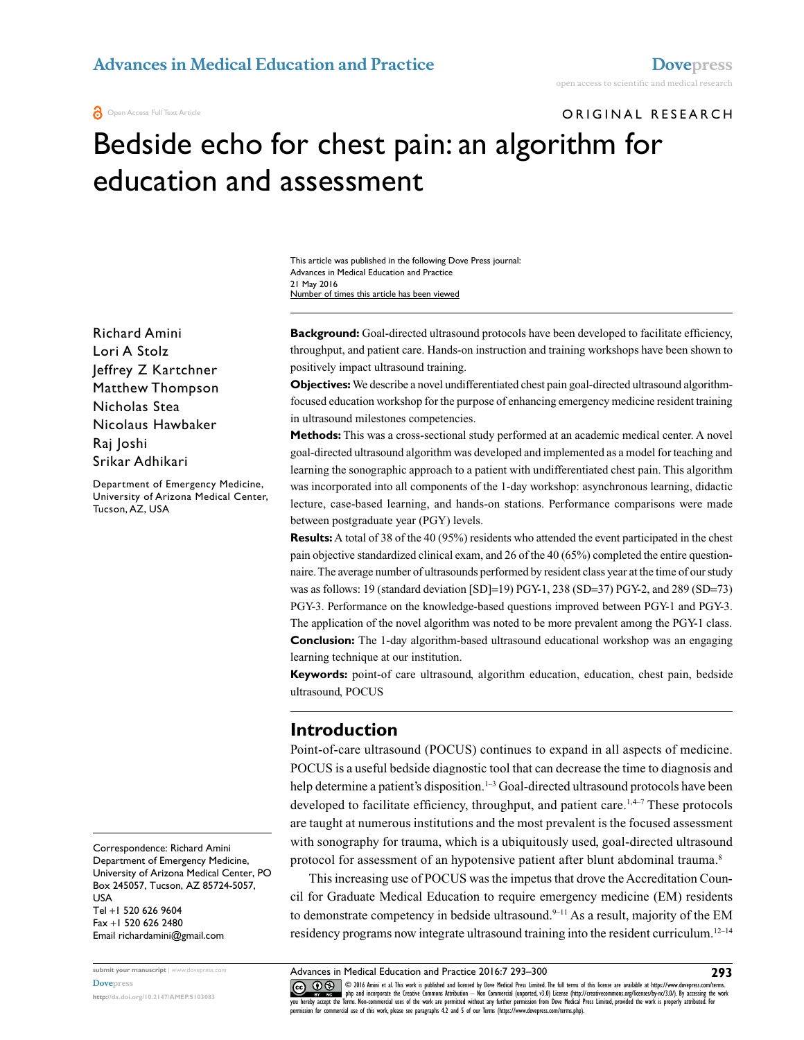ORIGINAL RESEARCH

# Bedside echo for chest pain: an algorithm for education and assessment

This article was published in the following Dove Press journal: Advances in Medical Education and Practice 21 May 2016 Number of times this article has been viewed

Richard Amini Lori A Stolz Jeffrey Z Kartchner Matthew Thompson Nicholas Stea Nicolaus Hawbaker Raj Joshi Srikar Adhikari

Department of Emergency Medicine, University of Arizona Medical Center, Tucson, AZ, USA

Correspondence: Richard Amini Department of Emergency Medicine, University of Arizona Medical Center, PO Box 245057, Tucson, AZ 85724-5057, USA Tel +1 520 626 9604 Fax +1 520 626 2480 Email richardamini@gmail.com

**submit your manuscript** | <www.dovepress.com> **[Dovepress](www.dovepress.com)** 

**http://dx.doi.org/10.2147/AMEP.S103083**

**Background:** Goal-directed ultrasound protocols have been developed to facilitate efficiency, throughput, and patient care. Hands-on instruction and training workshops have been shown to positively impact ultrasound training.

**Objectives:** We describe a novel undifferentiated chest pain goal-directed ultrasound algorithmfocused education workshop for the purpose of enhancing emergency medicine resident training in ultrasound milestones competencies.

**Methods:** This was a cross-sectional study performed at an academic medical center. A novel goal-directed ultrasound algorithm was developed and implemented as a model for teaching and learning the sonographic approach to a patient with undifferentiated chest pain. This algorithm was incorporated into all components of the 1-day workshop: asynchronous learning, didactic lecture, case-based learning, and hands-on stations. Performance comparisons were made between postgraduate year (PGY) levels.

**Results:** A total of 38 of the 40 (95%) residents who attended the event participated in the chest pain objective standardized clinical exam, and 26 of the 40 (65%) completed the entire questionnaire. The average number of ultrasounds performed by resident class year at the time of our study was as follows: 19 (standard deviation [SD]=19) PGY-1, 238 (SD=37) PGY-2, and 289 (SD=73) PGY-3. Performance on the knowledge-based questions improved between PGY-1 and PGY-3. The application of the novel algorithm was noted to be more prevalent among the PGY-1 class. **Conclusion:** The 1-day algorithm-based ultrasound educational workshop was an engaging learning technique at our institution.

**Keywords:** point-of care ultrasound, algorithm education, education, chest pain, bedside ultrasound, POCUS

#### **Introduction**

Point-of-care ultrasound (POCUS) continues to expand in all aspects of medicine. POCUS is a useful bedside diagnostic tool that can decrease the time to diagnosis and help determine a patient's disposition.<sup>1–3</sup> Goal-directed ultrasound protocols have been developed to facilitate efficiency, throughput, and patient care.<sup>1,4–7</sup> These protocols are taught at numerous institutions and the most prevalent is the focused assessment with sonography for trauma, which is a ubiquitously used, goal-directed ultrasound protocol for assessment of an hypotensive patient after blunt abdominal trauma.<sup>8</sup>

This increasing use of POCUS was the impetus that drove the Accreditation Council for Graduate Medical Education to require emergency medicine (EM) residents to demonstrate competency in bedside ultrasound.<sup>9-11</sup> As a result, majority of the EM residency programs now integrate ultrasound training into the resident curriculum.<sup>12-14</sup>

COM 6 Amini et al. This work is published and licensed by Dove Medical Press Limited. The full terms of this license are available at https://www.dovepress.com/terms.<br> [you hereby accept the T](http://www.dovepress.com/permissions.php)erms. Non-commercial uses of th permission for commercial use of this work, please see paragraphs 4.2 and 5 of our Terms (https://www.dovepress.com/terms.php).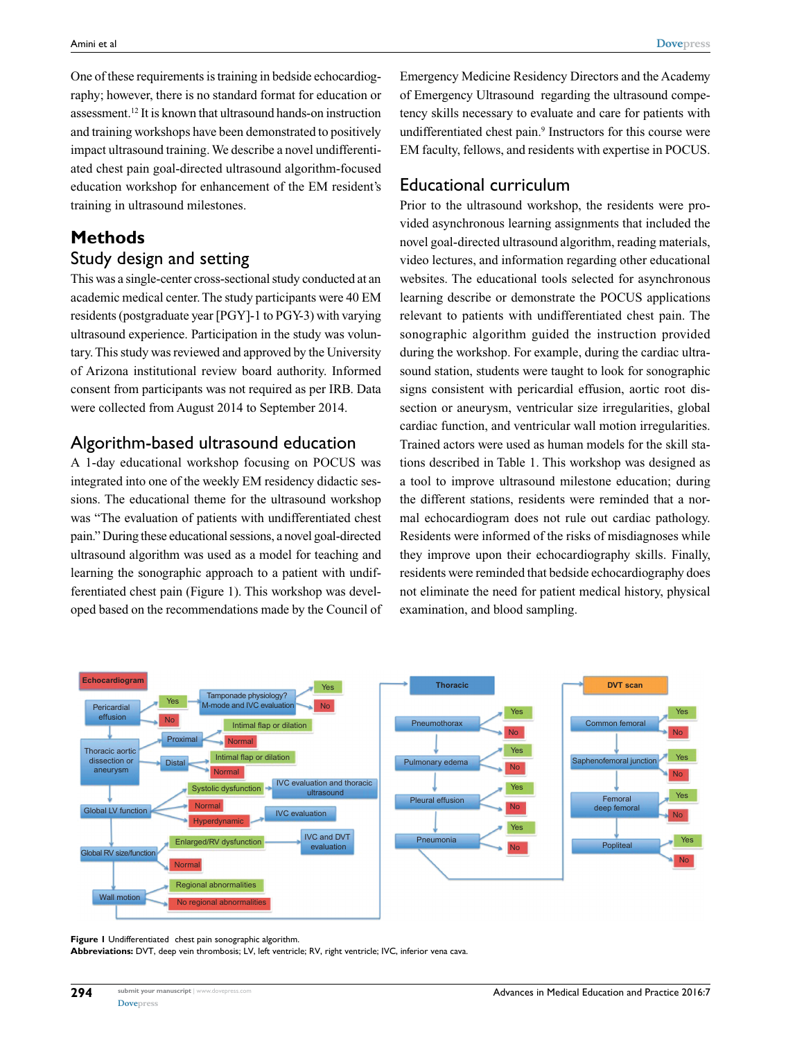One of these requirements is training in bedside echocardiography; however, there is no standard format for education or assessment.12 It is known that ultrasound hands-on instruction and training workshops have been demonstrated to positively impact ultrasound training. We describe a novel undifferentiated chest pain goal-directed ultrasound algorithm-focused education workshop for enhancement of the EM resident's training in ultrasound milestones.

## **Methods** Study design and setting

This was a single-center cross-sectional study conducted at an academic medical center. The study participants were 40 EM residents (postgraduate year [PGY]-1 to PGY-3) with varying ultrasound experience. Participation in the study was voluntary. This study was reviewed and approved by the University of Arizona institutional review board authority. Informed consent from participants was not required as per IRB. Data were collected from August 2014 to September 2014.

## Algorithm-based ultrasound education

A 1-day educational workshop focusing on POCUS was integrated into one of the weekly EM residency didactic sessions. The educational theme for the ultrasound workshop was "The evaluation of patients with undifferentiated chest pain." During these educational sessions, a novel goal-directed ultrasound algorithm was used as a model for teaching and learning the sonographic approach to a patient with undifferentiated chest pain (Figure 1). This workshop was developed based on the recommendations made by the Council of

Emergency Medicine Residency Directors and the Academy of Emergency Ultrasound regarding the ultrasound competency skills necessary to evaluate and care for patients with undifferentiated chest pain.<sup>9</sup> Instructors for this course were EM faculty, fellows, and residents with expertise in POCUS.

## Educational curriculum

Prior to the ultrasound workshop, the residents were provided asynchronous learning assignments that included the novel goal-directed ultrasound algorithm, reading materials, video lectures, and information regarding other educational websites. The educational tools selected for asynchronous learning describe or demonstrate the POCUS applications relevant to patients with undifferentiated chest pain. The sonographic algorithm guided the instruction provided during the workshop. For example, during the cardiac ultrasound station, students were taught to look for sonographic signs consistent with pericardial effusion, aortic root dissection or aneurysm, ventricular size irregularities, global cardiac function, and ventricular wall motion irregularities. Trained actors were used as human models for the skill stations described in Table 1. This workshop was designed as a tool to improve ultrasound milestone education; during the different stations, residents were reminded that a normal echocardiogram does not rule out cardiac pathology. Residents were informed of the risks of misdiagnoses while they improve upon their echocardiography skills. Finally, residents were reminded that bedside echocardiography does not eliminate the need for patient medical history, physical examination, and blood sampling.



#### **Figure 1** Undifferentiated chest pain sonographic algorithm.

**Abbreviations:** DVT, deep vein thrombosis; LV, left ventricle; RV, right ventricle; IVC, inferior vena cava.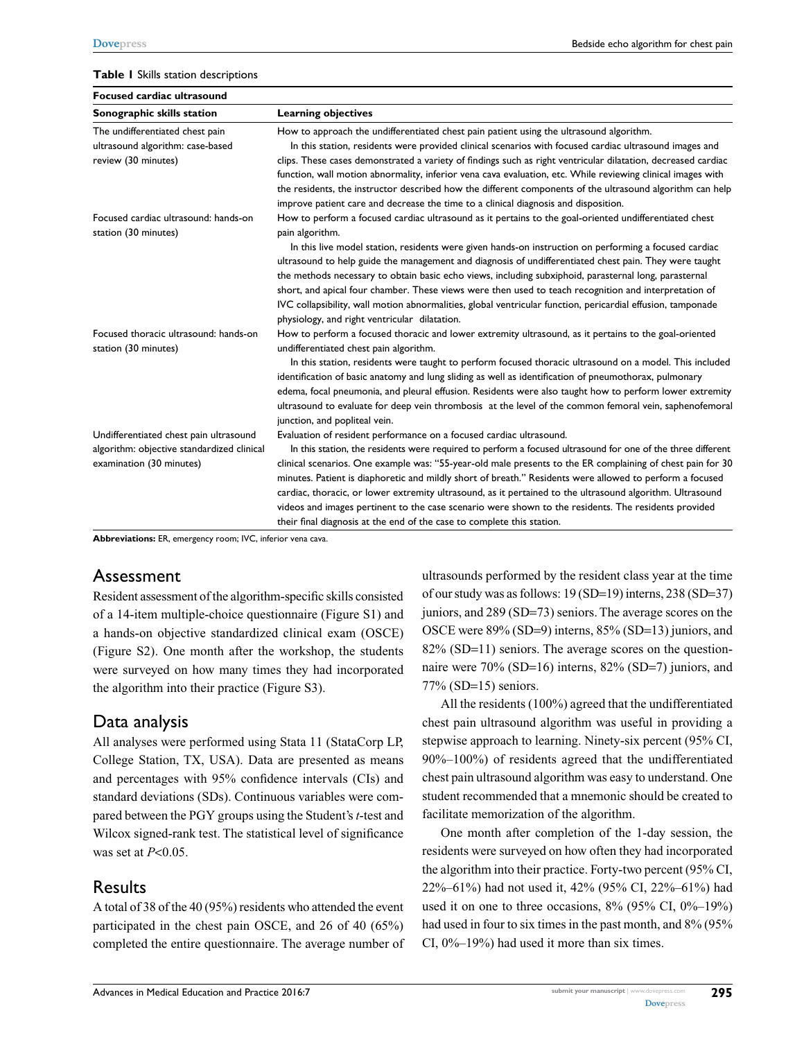#### **Table 1** Skills station descriptions

| <b>Focused cardiac ultrasound</b>                                                                                |                                                                                                                                                                                                                                                                                                                                                                                                                                                                                                                                                                                                                                                                                                                                |
|------------------------------------------------------------------------------------------------------------------|--------------------------------------------------------------------------------------------------------------------------------------------------------------------------------------------------------------------------------------------------------------------------------------------------------------------------------------------------------------------------------------------------------------------------------------------------------------------------------------------------------------------------------------------------------------------------------------------------------------------------------------------------------------------------------------------------------------------------------|
| Sonographic skills station                                                                                       | <b>Learning objectives</b>                                                                                                                                                                                                                                                                                                                                                                                                                                                                                                                                                                                                                                                                                                     |
| The undifferentiated chest pain<br>ultrasound algorithm: case-based<br>review (30 minutes)                       | How to approach the undifferentiated chest pain patient using the ultrasound algorithm.<br>In this station, residents were provided clinical scenarios with focused cardiac ultrasound images and<br>clips. These cases demonstrated a variety of findings such as right ventricular dilatation, decreased cardiac<br>function, wall motion abnormality, inferior vena cava evaluation, etc. While reviewing clinical images with<br>the residents, the instructor described how the different components of the ultrasound algorithm can help<br>improve patient care and decrease the time to a clinical diagnosis and disposition.                                                                                          |
| Focused cardiac ultrasound: hands-on<br>station (30 minutes)                                                     | How to perform a focused cardiac ultrasound as it pertains to the goal-oriented undifferentiated chest<br>pain algorithm.<br>In this live model station, residents were given hands-on instruction on performing a focused cardiac<br>ultrasound to help guide the management and diagnosis of undifferentiated chest pain. They were taught<br>the methods necessary to obtain basic echo views, including subxiphoid, parasternal long, parasternal<br>short, and apical four chamber. These views were then used to teach recognition and interpretation of<br>IVC collapsibility, wall motion abnormalities, global ventricular function, pericardial effusion, tamponade<br>physiology, and right ventricular dilatation. |
| Focused thoracic ultrasound: hands-on<br>station (30 minutes)                                                    | How to perform a focused thoracic and lower extremity ultrasound, as it pertains to the goal-oriented<br>undifferentiated chest pain algorithm.<br>In this station, residents were taught to perform focused thoracic ultrasound on a model. This included<br>identification of basic anatomy and lung sliding as well as identification of pneumothorax, pulmonary<br>edema, focal pneumonia, and pleural effusion. Residents were also taught how to perform lower extremity<br>ultrasound to evaluate for deep vein thrombosis at the level of the common femoral vein, saphenofemoral<br>junction, and popliteal vein.                                                                                                     |
| Undifferentiated chest pain ultrasound<br>algorithm: objective standardized clinical<br>examination (30 minutes) | Evaluation of resident performance on a focused cardiac ultrasound.<br>In this station, the residents were required to perform a focused ultrasound for one of the three different<br>clinical scenarios. One example was: "55-year-old male presents to the ER complaining of chest pain for 30<br>minutes. Patient is diaphoretic and mildly short of breath." Residents were allowed to perform a focused<br>cardiac, thoracic, or lower extremity ultrasound, as it pertained to the ultrasound algorithm. Ultrasound<br>videos and images pertinent to the case scenario were shown to the residents. The residents provided<br>their final diagnosis at the end of the case to complete this station.                    |

**Abbreviations:** ER, emergency room; IVC, inferior vena cava.

#### Assessment

Resident assessment of the algorithm-specific skills consisted of a 14-item multiple-choice questionnaire (Figure S1) and a hands-on objective standardized clinical exam (OSCE) (Figure S2). One month after the workshop, the students were surveyed on how many times they had incorporated the algorithm into their practice (Figure S3).

## Data analysis

All analyses were performed using Stata 11 (StataCorp LP, College Station, TX, USA). Data are presented as means and percentages with 95% confidence intervals (CIs) and standard deviations (SDs). Continuous variables were compared between the PGY groups using the Student's *t*-test and Wilcox signed-rank test. The statistical level of significance was set at *P*<0.05.

#### **Results**

A total of 38 of the 40 (95%) residents who attended the event participated in the chest pain OSCE, and 26 of 40 (65%) completed the entire questionnaire. The average number of ultrasounds performed by the resident class year at the time of our study was as follows: 19 (SD=19) interns, 238 (SD=37) juniors, and 289 (SD=73) seniors. The average scores on the OSCE were 89% (SD=9) interns, 85% (SD=13) juniors, and 82% (SD=11) seniors. The average scores on the questionnaire were 70% (SD=16) interns, 82% (SD=7) juniors, and 77% (SD=15) seniors.

All the residents (100%) agreed that the undifferentiated chest pain ultrasound algorithm was useful in providing a stepwise approach to learning. Ninety-six percent (95% CI, 90%–100%) of residents agreed that the undifferentiated chest pain ultrasound algorithm was easy to understand. One student recommended that a mnemonic should be created to facilitate memorization of the algorithm.

One month after completion of the 1-day session, the residents were surveyed on how often they had incorporated the algorithm into their practice. Forty-two percent (95% CI, 22%–61%) had not used it, 42% (95% CI, 22%–61%) had used it on one to three occasions,  $8\%$  (95% CI, 0%–19%) had used in four to six times in the past month, and  $8\%$  (95% CI, 0%–19%) had used it more than six times.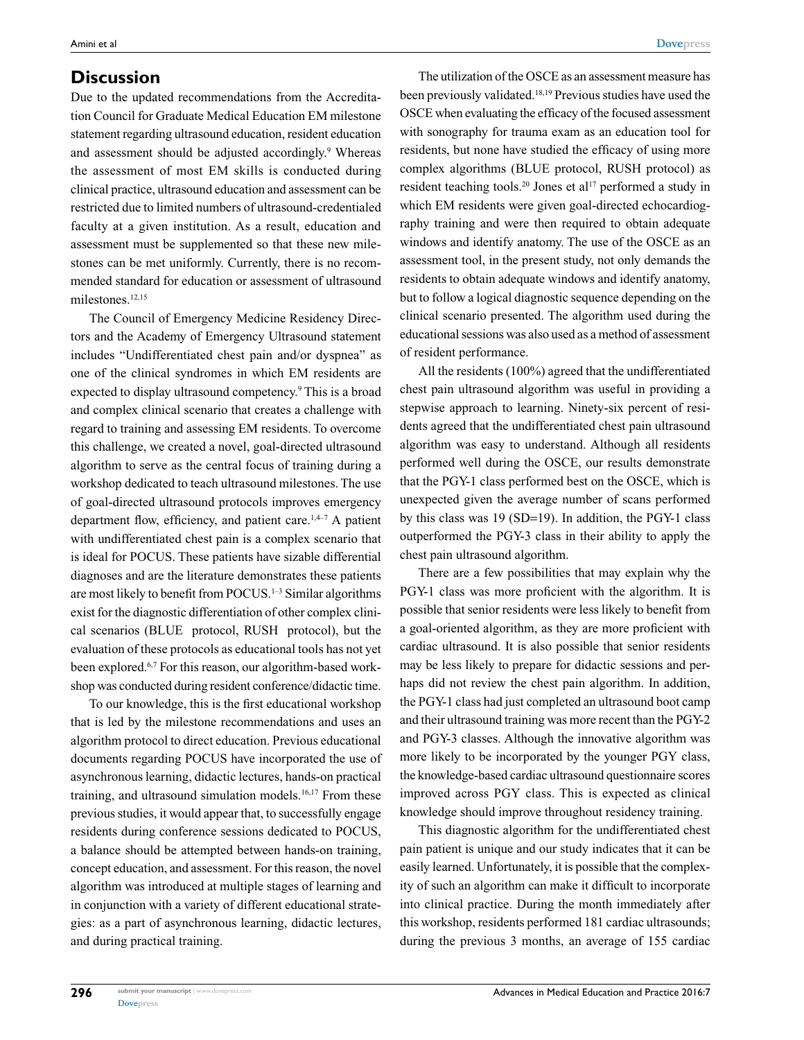#### **Discussion**

Due to the updated recommendations from the Accreditation Council for Graduate Medical Education EM milestone statement regarding ultrasound education, resident education and assessment should be adjusted accordingly.<sup>9</sup> Whereas the assessment of most EM skills is conducted during clinical practice, ultrasound education and assessment can be restricted due to limited numbers of ultrasound-credentialed faculty at a given institution. As a result, education and assessment must be supplemented so that these new milestones can be met uniformly. Currently, there is no recommended standard for education or assessment of ultrasound milestones.12,15

The Council of Emergency Medicine Residency Directors and the Academy of Emergency Ultrasound statement includes "Undifferentiated chest pain and/or dyspnea" as one of the clinical syndromes in which EM residents are expected to display ultrasound competency.<sup>9</sup> This is a broad and complex clinical scenario that creates a challenge with regard to training and assessing EM residents. To overcome this challenge, we created a novel, goal-directed ultrasound algorithm to serve as the central focus of training during a workshop dedicated to teach ultrasound milestones. The use of goal-directed ultrasound protocols improves emergency department flow, efficiency, and patient care.<sup>1,4-7</sup> A patient with undifferentiated chest pain is a complex scenario that is ideal for POCUS. These patients have sizable differential diagnoses and are the literature demonstrates these patients are most likely to benefit from POCUS.<sup>1-3</sup> Similar algorithms exist for the diagnostic differentiation of other complex clinical scenarios (BLUE protocol, RUSH protocol), but the evaluation of these protocols as educational tools has not yet been explored.6,7 For this reason, our algorithm-based workshop was conducted during resident conference/didactic time.

To our knowledge, this is the first educational workshop that is led by the milestone recommendations and uses an algorithm protocol to direct education. Previous educational documents regarding POCUS have incorporated the use of asynchronous learning, didactic lectures, hands-on practical training, and ultrasound simulation models.<sup>16,17</sup> From these previous studies, it would appear that, to successfully engage residents during conference sessions dedicated to POCUS, a balance should be attempted between hands-on training, concept education, and assessment. For this reason, the novel algorithm was introduced at multiple stages of learning and in conjunction with a variety of different educational strategies: as a part of asynchronous learning, didactic lectures, and during practical training.

The utilization of the OSCE as an assessment measure has been previously validated.18,19 Previous studies have used the OSCE when evaluating the efficacy of the focused assessment with sonography for trauma exam as an education tool for residents, but none have studied the efficacy of using more complex algorithms (BLUE protocol, RUSH protocol) as resident teaching tools.<sup>20</sup> Jones et al<sup>17</sup> performed a study in which EM residents were given goal-directed echocardiography training and were then required to obtain adequate windows and identify anatomy. The use of the OSCE as an assessment tool, in the present study, not only demands the residents to obtain adequate windows and identify anatomy, but to follow a logical diagnostic sequence depending on the clinical scenario presented. The algorithm used during the educational sessions was also used as a method of assessment of resident performance.

All the residents (100%) agreed that the undifferentiated chest pain ultrasound algorithm was useful in providing a stepwise approach to learning. Ninety-six percent of residents agreed that the undifferentiated chest pain ultrasound algorithm was easy to understand. Although all residents performed well during the OSCE, our results demonstrate that the PGY-1 class performed best on the OSCE, which is unexpected given the average number of scans performed by this class was 19 (SD=19). In addition, the PGY-1 class outperformed the PGY-3 class in their ability to apply the chest pain ultrasound algorithm.

There are a few possibilities that may explain why the PGY-1 class was more proficient with the algorithm. It is possible that senior residents were less likely to benefit from a goal-oriented algorithm, as they are more proficient with cardiac ultrasound. It is also possible that senior residents may be less likely to prepare for didactic sessions and perhaps did not review the chest pain algorithm. In addition, the PGY-1 class had just completed an ultrasound boot camp and their ultrasound training was more recent than the PGY-2 and PGY-3 classes. Although the innovative algorithm was more likely to be incorporated by the younger PGY class, the knowledge-based cardiac ultrasound questionnaire scores improved across PGY class. This is expected as clinical knowledge should improve throughout residency training.

This diagnostic algorithm for the undifferentiated chest pain patient is unique and our study indicates that it can be easily learned. Unfortunately, it is possible that the complexity of such an algorithm can make it difficult to incorporate into clinical practice. During the month immediately after this workshop, residents performed 181 cardiac ultrasounds; during the previous 3 months, an average of 155 cardiac

**296**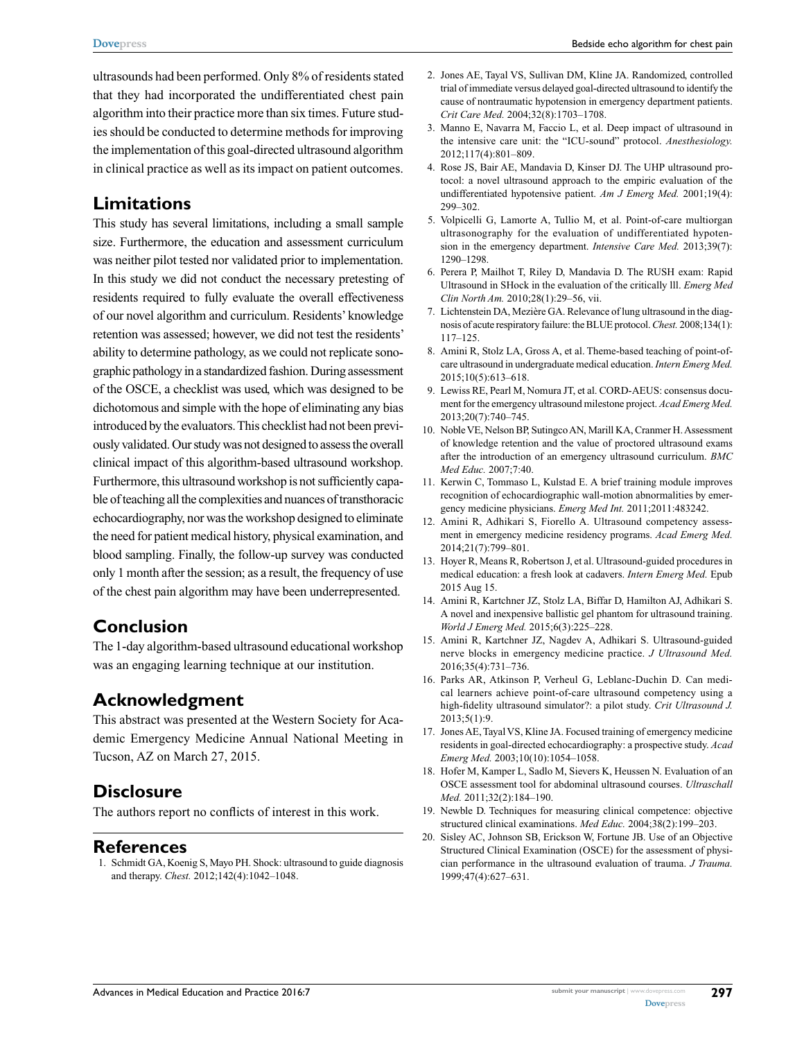ultrasounds had been performed. Only 8% of residents stated that they had incorporated the undifferentiated chest pain algorithm into their practice more than six times. Future studies should be conducted to determine methods for improving the implementation of this goal-directed ultrasound algorithm in clinical practice as well as its impact on patient outcomes.

## **Limitations**

This study has several limitations, including a small sample size. Furthermore, the education and assessment curriculum was neither pilot tested nor validated prior to implementation. In this study we did not conduct the necessary pretesting of residents required to fully evaluate the overall effectiveness of our novel algorithm and curriculum. Residents' knowledge retention was assessed; however, we did not test the residents' ability to determine pathology, as we could not replicate sonographic pathology in a standardized fashion. During assessment of the OSCE, a checklist was used, which was designed to be dichotomous and simple with the hope of eliminating any bias introduced by the evaluators. This checklist had not been previously validated. Our study was not designed to assess the overall clinical impact of this algorithm-based ultrasound workshop. Furthermore, this ultrasound workshop is not sufficiently capable of teaching all the complexities and nuances of transthoracic echocardiography, nor was the workshop designed to eliminate the need for patient medical history, physical examination, and blood sampling. Finally, the follow-up survey was conducted only 1 month after the session; as a result, the frequency of use of the chest pain algorithm may have been underrepresented.

## **Conclusion**

The 1-day algorithm-based ultrasound educational workshop was an engaging learning technique at our institution.

## **Acknowledgment**

This abstract was presented at the Western Society for Academic Emergency Medicine Annual National Meeting in Tucson, AZ on March 27, 2015.

## **Disclosure**

The authors report no conflicts of interest in this work.

#### **References**

1. Schmidt GA, Koenig S, Mayo PH. Shock: ultrasound to guide diagnosis and therapy. *Chest.* 2012;142(4):1042–1048.

- 2. Jones AE, Tayal VS, Sullivan DM, Kline JA. Randomized, controlled trial of immediate versus delayed goal-directed ultrasound to identify the cause of nontraumatic hypotension in emergency department patients. *Crit Care Med.* 2004;32(8):1703–1708.
- 3. Manno E, Navarra M, Faccio L, et al. Deep impact of ultrasound in the intensive care unit: the "ICU-sound" protocol. *Anesthesiology.*  2012;117(4):801–809.
- 4. Rose JS, Bair AE, Mandavia D, Kinser DJ. The UHP ultrasound protocol: a novel ultrasound approach to the empiric evaluation of the undifferentiated hypotensive patient. *Am J Emerg Med.* 2001;19(4): 299–302.
- 5. Volpicelli G, Lamorte A, Tullio M, et al. Point-of-care multiorgan ultrasonography for the evaluation of undifferentiated hypotension in the emergency department. *Intensive Care Med.* 2013;39(7): 1290–1298.
- 6. Perera P, Mailhot T, Riley D, Mandavia D. The RUSH exam: Rapid Ultrasound in SHock in the evaluation of the critically lll. *Emerg Med Clin North Am.* 2010;28(1):29–56, vii.
- 7. Lichtenstein DA, Mezière GA. Relevance of lung ultrasound in the diagnosis of acute respiratory failure: the BLUE protocol. *Chest.* 2008;134(1): 117–125.
- 8. Amini R, Stolz LA, Gross A, et al. Theme-based teaching of point-ofcare ultrasound in undergraduate medical education. *Intern Emerg Med.*  2015;10(5):613–618.
- 9. Lewiss RE, Pearl M, Nomura JT, et al. CORD-AEUS: consensus document for the emergency ultrasound milestone project. *Acad Emerg Med.*  2013;20(7):740–745.
- 10. Noble VE, Nelson BP, Sutingco AN, Marill KA, Cranmer H. Assessment of knowledge retention and the value of proctored ultrasound exams after the introduction of an emergency ultrasound curriculum. *BMC Med Educ.* 2007;7:40.
- 11. Kerwin C, Tommaso L, Kulstad E. A brief training module improves recognition of echocardiographic wall-motion abnormalities by emergency medicine physicians. *Emerg Med Int.* 2011;2011:483242.
- 12. Amini R, Adhikari S, Fiorello A. Ultrasound competency assessment in emergency medicine residency programs. *Acad Emerg Med.*  2014;21(7):799–801.
- 13. Hoyer R, Means R, Robertson J, et al. Ultrasound-guided procedures in medical education: a fresh look at cadavers. *Intern Emerg Med.* Epub 2015 Aug 15.
- 14. Amini R, Kartchner JZ, Stolz LA, Biffar D, Hamilton AJ, Adhikari S. A novel and inexpensive ballistic gel phantom for ultrasound training. *World J Emerg Med.* 2015;6(3):225–228.
- 15. Amini R, Kartchner JZ, Nagdev A, Adhikari S. Ultrasound-guided nerve blocks in emergency medicine practice. *J Ultrasound Med.*  2016;35(4):731–736.
- 16. Parks AR, Atkinson P, Verheul G, Leblanc-Duchin D. Can medical learners achieve point-of-care ultrasound competency using a high-fidelity ultrasound simulator?: a pilot study. *Crit Ultrasound J.*  2013;5(1):9.
- 17. Jones AE, Tayal VS, Kline JA. Focused training of emergency medicine residents in goal-directed echocardiography: a prospective study. *Acad Emerg Med.* 2003;10(10):1054–1058.
- 18. Hofer M, Kamper L, Sadlo M, Sievers K, Heussen N. Evaluation of an OSCE assessment tool for abdominal ultrasound courses. *Ultraschall Med.* 2011;32(2):184–190.
- 19. Newble D. Techniques for measuring clinical competence: objective structured clinical examinations. *Med Educ.* 2004;38(2):199–203.
- 20. Sisley AC, Johnson SB, Erickson W, Fortune JB. Use of an Objective Structured Clinical Examination (OSCE) for the assessment of physician performance in the ultrasound evaluation of trauma. *J Trauma.*  1999;47(4):627–631.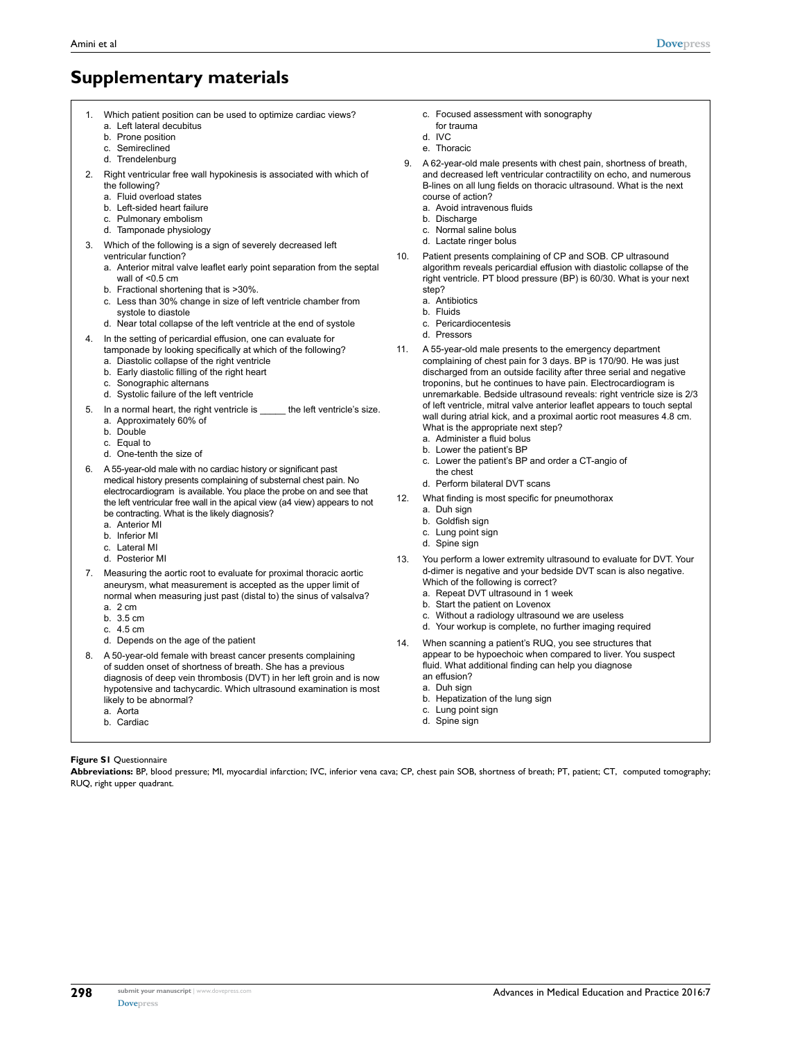c. Focused assessment with sonography

# **Supplementary materials**

1. Which patient position can be used to optimize cardiac views?

|    | a. Left lateral decubitus<br>b. Prone position<br>c. Semireclined                                                                                                                                                                                                                                                                                                                              |            | for trauma<br>d. IVC<br>e. Thoracic                                                                                                                                                                                                                                                                                                                                                                                                                                                                                                                                                                                                                                    |  |
|----|------------------------------------------------------------------------------------------------------------------------------------------------------------------------------------------------------------------------------------------------------------------------------------------------------------------------------------------------------------------------------------------------|------------|------------------------------------------------------------------------------------------------------------------------------------------------------------------------------------------------------------------------------------------------------------------------------------------------------------------------------------------------------------------------------------------------------------------------------------------------------------------------------------------------------------------------------------------------------------------------------------------------------------------------------------------------------------------------|--|
| 2. | d. Trendelenburg<br>Right ventricular free wall hypokinesis is associated with which of<br>the following?<br>a. Fluid overload states<br>b. Left-sided heart failure<br>c. Pulmonary embolism<br>d. Tamponade physiology                                                                                                                                                                       | 9.         | A 62-year-old male presents with chest pain, shortness of breath,<br>and decreased left ventricular contractility on echo, and numerous<br>B-lines on all lung fields on thoracic ultrasound. What is the next<br>course of action?<br>a. Avoid intravenous fluids<br>b. Discharge<br>c. Normal saline bolus                                                                                                                                                                                                                                                                                                                                                           |  |
| 3. | Which of the following is a sign of severely decreased left<br>ventricular function?<br>a. Anterior mitral valve leaflet early point separation from the septal<br>wall of $< 0.5$ cm<br>b. Fractional shortening that is >30%.<br>c. Less than 30% change in size of left ventricle chamber from<br>systole to diastole<br>d. Near total collapse of the left ventricle at the end of systole | 10.        | d. Lactate ringer bolus<br>Patient presents complaining of CP and SOB. CP ultrasound<br>algorithm reveals pericardial effusion with diastolic collapse of the<br>right ventricle. PT blood pressure (BP) is 60/30. What is your next<br>step?<br>a. Antibiotics<br>b. Fluids<br>c. Pericardiocentesis                                                                                                                                                                                                                                                                                                                                                                  |  |
| 4. | In the setting of pericardial effusion, one can evaluate for<br>tamponade by looking specifically at which of the following?<br>a. Diastolic collapse of the right ventricle<br>b. Early diastolic filling of the right heart<br>c. Sonographic alternans<br>d. Systolic failure of the left ventricle                                                                                         | 11.<br>12. | d. Pressors<br>A 55-year-old male presents to the emergency department<br>complaining of chest pain for 3 days. BP is 170/90. He was just<br>discharged from an outside facility after three serial and negative<br>troponins, but he continues to have pain. Electrocardiogram is<br>unremarkable. Bedside ultrasound reveals: right ventricle size is 2/3<br>of left ventricle, mitral valve anterior leaflet appears to touch septal<br>wall during atrial kick, and a proximal aortic root measures 4.8 cm.<br>What is the appropriate next step?<br>a. Administer a fluid bolus<br>b. Lower the patient's BP<br>c. Lower the patient's BP and order a CT-angio of |  |
| 5. | In a normal heart, the right ventricle is ______ the left ventricle's size.<br>a. Approximately 60% of<br>b. Double<br>c. Equal to<br>d. One-tenth the size of                                                                                                                                                                                                                                 |            |                                                                                                                                                                                                                                                                                                                                                                                                                                                                                                                                                                                                                                                                        |  |
| 6. | A 55-year-old male with no cardiac history or significant past<br>medical history presents complaining of substemal chest pain. No<br>electrocardiogram is available. You place the probe on and see that                                                                                                                                                                                      |            | the chest<br>d. Perform bilateral DVT scans                                                                                                                                                                                                                                                                                                                                                                                                                                                                                                                                                                                                                            |  |
|    | the left ventricular free wall in the apical view (a4 view) appears to not<br>be contracting. What is the likely diagnosis?<br>a. Anterior MI<br>b. Inferior MI<br>c. Lateral MI                                                                                                                                                                                                               |            | What finding is most specific for pneumothorax<br>a. Duh sign<br>b. Goldfish sign<br>c. Lung point sign<br>d. Spine sign                                                                                                                                                                                                                                                                                                                                                                                                                                                                                                                                               |  |
| 7. | d. Posterior MI<br>Measuring the aortic root to evaluate for proximal thoracic aortic<br>aneurysm, what measurement is accepted as the upper limit of<br>normal when measuring just past (distal to) the sinus of valsalva?<br>a. 2 cm<br>b.3.5cm<br>c. 4.5 cm                                                                                                                                 |            | You perform a lower extremity ultrasound to evaluate for DVT. Your<br>d-dimer is negative and your bedside DVT scan is also negative.<br>Which of the following is correct?<br>a. Repeat DVT ultrasound in 1 week<br>b. Start the patient on Lovenox<br>c. Without a radiology ultrasound we are useless<br>d. Your workup is complete, no further imaging required                                                                                                                                                                                                                                                                                                    |  |
|    | d. Depends on the age of the patient<br>8. A 50-year-old female with breast cancer presents complaining<br>of sudden onset of shortness of breath. She has a previous<br>diagnosis of deep vein thrombosis (DVT) in her left groin and is now<br>hypotensive and tachycardic. Which ultrasound examination is most<br>likely to be abnormal?<br>a. Aorta<br>b. Cardiac                         | 14.        | When scanning a patient's RUQ, you see structures that<br>appear to be hypoechoic when compared to liver. You suspect<br>fluid. What additional finding can help you diagnose<br>an effusion?<br>a. Duh sign<br>b. Hepatization of the lung sign<br>c. Lung point sign<br>d. Spine sign                                                                                                                                                                                                                                                                                                                                                                                |  |

**Figure S1** Questionnaire

**Abbreviations:** BP, blood pressure; MI, myocardial infarction; IVC, inferior vena cava; CP, chest pain SOB, shortness of breath; PT, patient; CT, computed tomography; RUQ, right upper quadrant.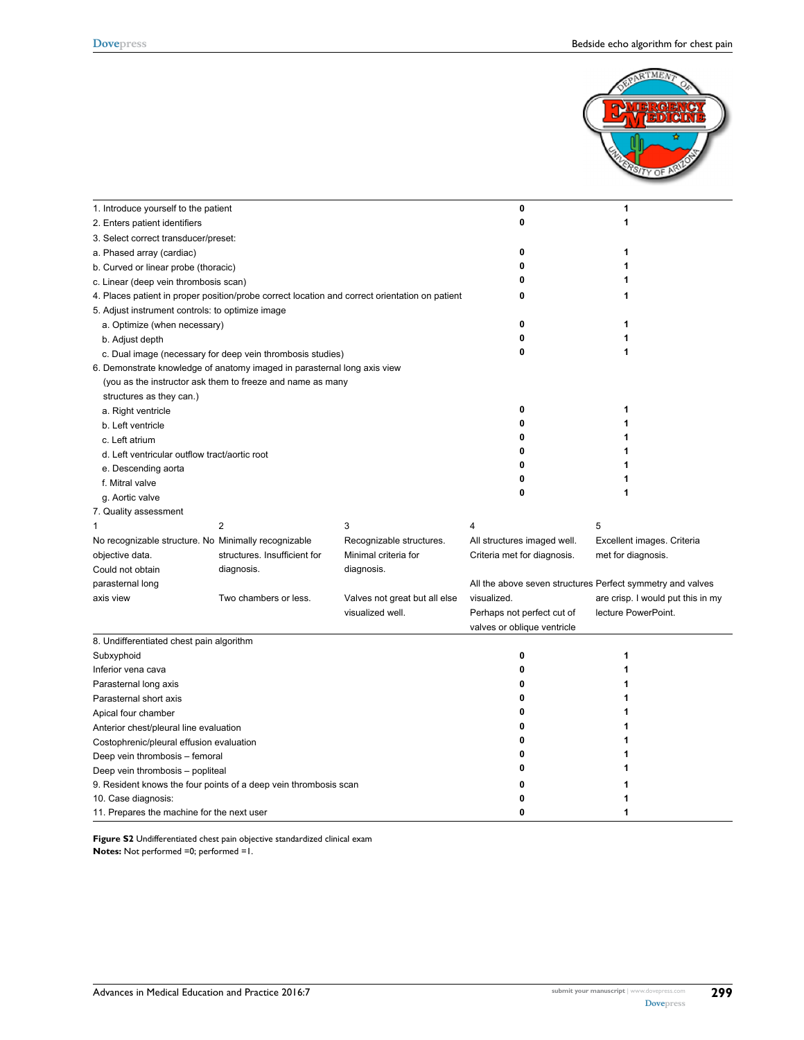

| 1. Introduce yourself to the patient                 |                                                                          | 0                                                                                              | 1                           |                                                            |
|------------------------------------------------------|--------------------------------------------------------------------------|------------------------------------------------------------------------------------------------|-----------------------------|------------------------------------------------------------|
| 2. Enters patient identifiers                        |                                                                          | 0                                                                                              | 1                           |                                                            |
| 3. Select correct transducer/preset:                 |                                                                          |                                                                                                |                             |                                                            |
| a. Phased array (cardiac)                            |                                                                          | 0                                                                                              | 1                           |                                                            |
| b. Curved or linear probe (thoracic)                 |                                                                          |                                                                                                | 0                           |                                                            |
| c. Linear (deep vein thrombosis scan)                |                                                                          |                                                                                                | 0                           |                                                            |
|                                                      |                                                                          | 4. Places patient in proper position/probe correct location and correct orientation on patient | n                           |                                                            |
| 5. Adjust instrument controls: to optimize image     |                                                                          |                                                                                                |                             |                                                            |
| a. Optimize (when necessary)                         |                                                                          |                                                                                                | 0                           |                                                            |
| b. Adjust depth                                      |                                                                          |                                                                                                | 0                           |                                                            |
|                                                      | c. Dual image (necessary for deep vein thrombosis studies)               |                                                                                                | 0                           | 1                                                          |
|                                                      | 6. Demonstrate knowledge of anatomy imaged in parasternal long axis view |                                                                                                |                             |                                                            |
|                                                      | (you as the instructor ask them to freeze and name as many               |                                                                                                |                             |                                                            |
| structures as they can.)                             |                                                                          |                                                                                                |                             |                                                            |
| a. Right ventricle                                   |                                                                          |                                                                                                | 0                           | 1                                                          |
| b. Left ventricle                                    |                                                                          |                                                                                                | 0                           |                                                            |
| c. Left atrium                                       |                                                                          |                                                                                                | 0                           |                                                            |
| d. Left ventricular outflow tract/aortic root        |                                                                          |                                                                                                | 0                           |                                                            |
| e. Descending aorta                                  |                                                                          |                                                                                                | 0                           |                                                            |
| f. Mitral valve                                      |                                                                          |                                                                                                | 0                           |                                                            |
| g. Aortic valve                                      |                                                                          |                                                                                                | 0                           | 1                                                          |
| 7. Quality assessment                                |                                                                          |                                                                                                |                             |                                                            |
|                                                      | $\overline{2}$                                                           | 3                                                                                              | 4                           | 5                                                          |
| No recognizable structure. No Minimally recognizable |                                                                          | Recognizable structures.                                                                       | All structures imaged well. | Excellent images. Criteria                                 |
| objective data.                                      | structures. Insufficient for                                             | Minimal criteria for                                                                           | Criteria met for diagnosis. | met for diagnosis.                                         |
| Could not obtain                                     | diagnosis.                                                               | diagnosis.                                                                                     |                             |                                                            |
| parasternal long                                     |                                                                          |                                                                                                |                             | All the above seven structures Perfect symmetry and valves |
| axis view                                            | Two chambers or less.                                                    | Valves not great but all else                                                                  | visualized.                 | are crisp. I would put this in my                          |
|                                                      |                                                                          | visualized well.                                                                               | Perhaps not perfect cut of  | lecture PowerPoint.                                        |
|                                                      |                                                                          |                                                                                                | valves or oblique ventricle |                                                            |
| 8. Undifferentiated chest pain algorithm             |                                                                          |                                                                                                |                             |                                                            |
| Subxyphoid                                           |                                                                          |                                                                                                | 0                           | 1                                                          |
| Inferior vena cava                                   |                                                                          |                                                                                                | 0                           |                                                            |
| Parasternal long axis                                |                                                                          |                                                                                                | n                           |                                                            |
| Parasternal short axis                               |                                                                          | 0                                                                                              |                             |                                                            |
| Apical four chamber                                  |                                                                          | Λ                                                                                              |                             |                                                            |
| Anterior chest/pleural line evaluation               |                                                                          | n                                                                                              |                             |                                                            |
| Costophrenic/pleural effusion evaluation             |                                                                          | 0                                                                                              |                             |                                                            |
| Deep vein thrombosis - femoral                       |                                                                          | Λ                                                                                              |                             |                                                            |
| Deep vein thrombosis - popliteal                     |                                                                          |                                                                                                |                             |                                                            |
|                                                      | 9. Resident knows the four points of a deep vein thrombosis scan         | 0                                                                                              |                             |                                                            |
| 10. Case diagnosis:                                  |                                                                          | 0                                                                                              |                             |                                                            |
| 11. Prepares the machine for the next user           |                                                                          | 0                                                                                              | 1                           |                                                            |

**Figure S2** Undifferentiated chest pain objective standardized clinical exam **Notes:** Not performed =0; performed =1.